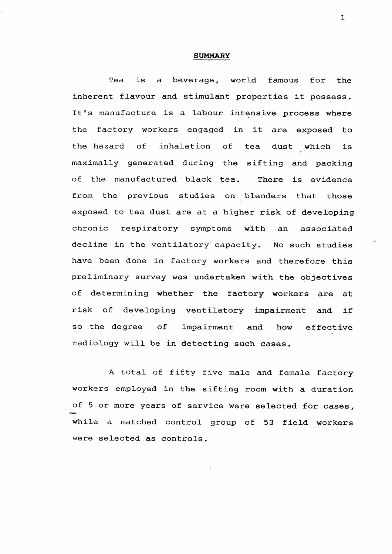## **SUMMARY**

1

 $\mathcal{A}$ 

 $\mathbf{X}^{\mathcal{A}}$ 

 $\mathcal{L}^{\text{max}}_{\text{max}}$  and  $\mathcal{L}^{\text{max}}_{\text{max}}$ 

Tea is a beverage, world famous for the inherent flavour and stimulant properties it possess. It's manufacture is a labour intensive process where the factory workers engaged in it are exposed to the hazard of inhalation of tea dust which is maximally generated during the sifting and packing of the manufactured black tea. There is evidence from the previous studies on blenders that those exposed to tea dust are at a higher risk of developing chronic respiratory symptoms with an associated decline in the ventilatory capacity. No such studies have been done in factory workers and therefore this preliminary survey was undertaken with the objectives of determining whether the factory workers are at

risk of developing ventilatory impairment and if so the degree of impairment and how effective radiology will be in detecting such cases.

A total of fifty five male and female factory workers employed in the sifting room with a duration of 5 or more years of service were selected for cases, **SALES** while a matched control group of 53 field workers were selected as controls.